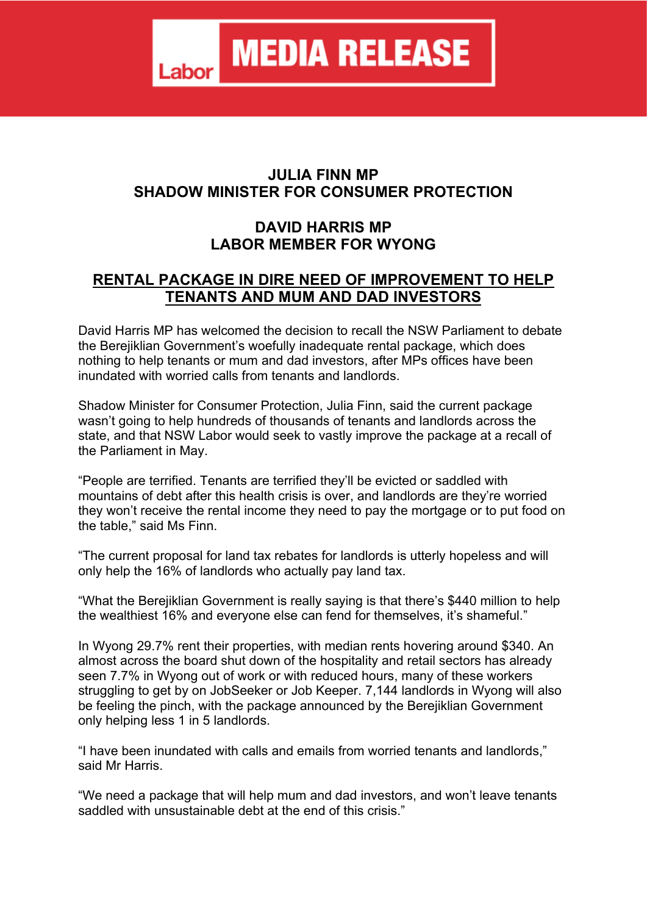## **JULIA FINN MP SHADOW MINISTER FOR CONSUMER PROTECTION**

## **DAVID HARRIS MP LABOR MEMBER FOR WYONG**

## **RENTAL PACKAGE IN DIRE NEED OF IMPROVEMENT TO HELP TENANTS AND MUM AND DAD INVESTORS**

David Harris MP has welcomed the decision to recall the NSW Parliament to debate the Berejiklian Government's woefully inadequate rental package, which does nothing to help tenants or mum and dad investors, after MPs offices have been inundated with worried calls from tenants and landlords.

Shadow Minister for Consumer Protection, Julia Finn, said the current package wasn't going to help hundreds of thousands of tenants and landlords across the state, and that NSW Labor would seek to vastly improve the package at a recall of the Parliament in May.

"People are terrified. Tenants are terrified they'll be evicted or saddled with mountains of debt after this health crisis is over, and landlords are they're worried they won't receive the rental income they need to pay the mortgage or to put food on the table," said Ms Finn.

"The current proposal for land tax rebates for landlords is utterly hopeless and will only help the 16% of landlords who actually pay land tax.

"What the Berejiklian Government is really saying is that there's \$440 million to help the wealthiest 16% and everyone else can fend for themselves, it's shameful."

In Wyong 29.7% rent their properties, with median rents hovering around \$340. An almost across the board shut down of the hospitality and retail sectors has already seen 7.7% in Wyong out of work or with reduced hours, many of these workers struggling to get by on JobSeeker or Job Keeper. 7,144 landlords in Wyong will also be feeling the pinch, with the package announced by the Berejiklian Government only helping less 1 in 5 landlords.

"I have been inundated with calls and emails from worried tenants and landlords," said Mr Harris.

"We need a package that will help mum and dad investors, and won't leave tenants saddled with unsustainable debt at the end of this crisis."